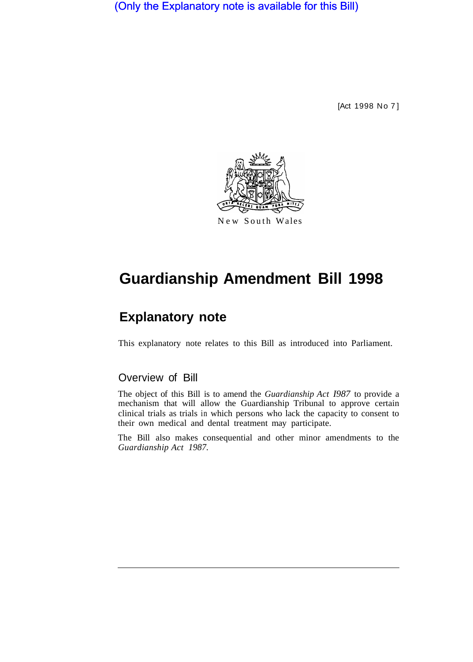(Only the Explanatory note is available for this Bill)

[Act 1998 No 7]



# **Guardianship Amendment Bill 1998**

## **Explanatory note**

This explanatory note relates to this Bill as introduced into Parliament.

### Overview of Bill

The object of this Bill is to amend the *Guardianship Act I987* to provide a mechanism that will allow the Guardianship Tribunal to approve certain clinical trials as trials in which persons who lack the capacity to consent to their own medical and dental treatment may participate.

The Bill also makes consequential and other minor amendments to the *Guardianship Act 1987.*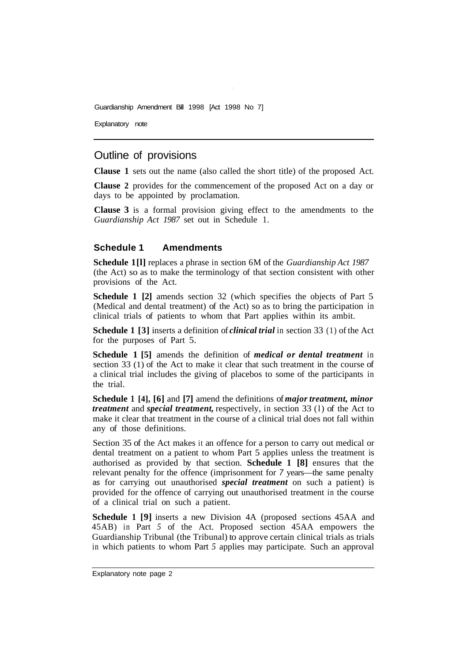Guardianship Amendment Bill 1998 [Act 1998 No 7]

Explanatory note

#### Outline of provisions

**Clause 1** sets out the name (also called the short title) of the proposed Act.

**Clause 2** provides for the commencement of the proposed Act on a day or days to be appointed by proclamation.

**Clause 3** is a formal provision giving effect to the amendments to the *Guardianship Act 1987* set out in Schedule 1.

#### **Schedule 1 Amendments**

**Schedule 1[l]** replaces a phrase in section 6M of the *Guardianship Act 1987*  (the Act) so as to make the terminology of that section consistent with other provisions of the Act.

**Schedule 1 [2]** amends section 32 (which specifies the objects of Part 5 (Medical and dental treatment) of the Act) so as to bring the participation in clinical trials of patients to whom that Part applies within its ambit.

**Schedule 1 [3]** inserts a definition of *clinical trial* in section 33 (1) of the Act for the purposes of Part 5.

**Schedule 1 [5]** amends the definition of *medical or dental treatment* in section 33 (1) of the Act to make it clear that such treatment in the course of a clinical trial includes the giving of placebos to some of the participants in the trial.

**Schedule 1 [4], [6]** and **[7]** amend the definitions of *major treatment, minor treatment* and *special treatment,* respectively, in section 33 (l) of the Act to make it clear that treatment in the course of a clinical trial does not fall within any of those definitions.

Section 35 of the Act makes it an offence for a person to carry out medical or dental treatment on a patient to whom Part 5 applies unless the treatment is authorised as provided by that section. **Schedule 1 [8]** ensures that the relevant penalty for the offence (imprisonment for *7* years—the same penalty as for carrying out unauthorised *special treatment* on such a patient) is provided for the offence of carrying out unauthorised treatment in the course of a clinical trial on such a patient.

**Schedule 1 [9]** inserts a new Division 4A (proposed sections 45AA and 45AB) in Part *5* of the Act. Proposed section 45AA empowers the Guardianship Tribunal (the Tribunal) to approve certain clinical trials as trials in which patients to whom Part *5* applies may participate. Such an approval